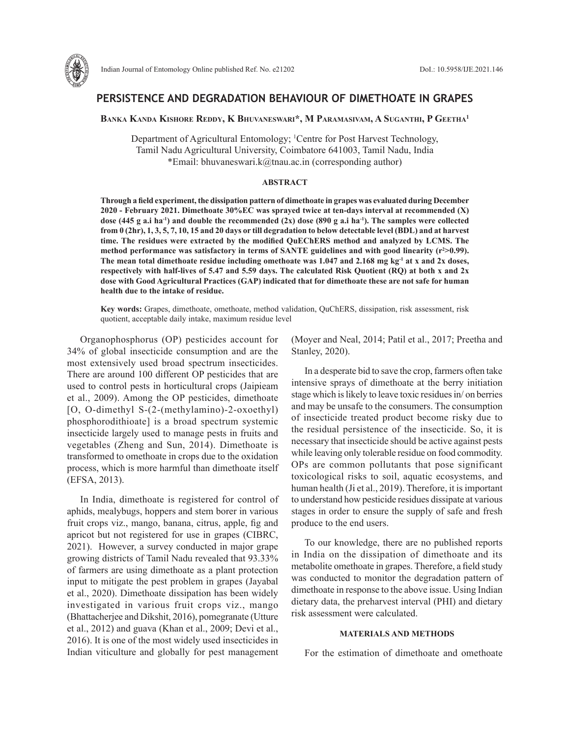

# **PERSISTENCE AND DEGRADATION BEHAVIOUR OF DIMETHOATE IN GRAPES**

**Banka Kanda Kishore Reddy, K Bhuvaneswari\*, M Paramasivam, A Suganthi, P Geetha1**

Department of Agricultural Entomology; <sup>1</sup>Centre for Post Harvest Technology, Tamil Nadu Agricultural University, Coimbatore 641003, Tamil Nadu, India \*Email: bhuvaneswari.k@tnau.ac.in (corresponding author)

## **ABSTRACT**

**Through a field experiment, the dissipation pattern of dimethoate in grapes was evaluated during December 2020 - February 2021. Dimethoate 30%EC was sprayed twice at ten-days interval at recommended (X) dose (445 g a.i ha-1) and double the recommended (2x) dose (890 g a.i ha-1). The samples were collected from 0 (2hr), 1, 3, 5, 7, 10, 15 and 20 days or till degradation to below detectable level (BDL) and at harvest time. The residues were extracted by the modified QuEChERS method and analyzed by LCMS. The**  method performance was satisfactory in terms of SANTE guidelines and with good linearity (r<sup>2</sup>>0.99). The mean total dimethoate residue including omethoate was 1.047 and 2.168 mg kg<sup>-1</sup> at x and 2x doses, **respectively with half-lives of 5.47 and 5.59 days. The calculated Risk Quotient (RQ) at both x and 2x dose with Good Agricultural Practices (GAP) indicated that for dimethoate these are not safe for human health due to the intake of residue.** 

**Key words:** Grapes, dimethoate, omethoate, method validation, QuChERS, dissipation, risk assessment, risk quotient, acceptable daily intake, maximum residue level

Organophosphorus (OP) pesticides account for 34% of global insecticide consumption and are the most extensively used broad spectrum insecticides. There are around 100 different OP pesticides that are used to control pests in horticultural crops (Jaipieam et al., 2009). Among the OP pesticides, dimethoate [O, O-dimethyl S-(2-(methylamino)-2-oxoethyl) phosphorodithioate] is a broad spectrum systemic insecticide largely used to manage pests in fruits and vegetables (Zheng and Sun, 2014). Dimethoate is transformed to omethoate in crops due to the oxidation process, which is more harmful than dimethoate itself (EFSA, 2013).

In India, dimethoate is registered for control of aphids, mealybugs, hoppers and stem borer in various fruit crops viz., mango, banana, citrus, apple, fig and apricot but not registered for use in grapes (CIBRC, 2021). However, a survey conducted in major grape growing districts of Tamil Nadu revealed that 93.33% of farmers are using dimethoate as a plant protection input to mitigate the pest problem in grapes (Jayabal et al., 2020). Dimethoate dissipation has been widely investigated in various fruit crops viz., mango (Bhattacherjee and Dikshit, 2016), pomegranate (Utture et al., 2012) and guava (Khan et al., 2009; Devi et al., 2016). It is one of the most widely used insecticides in Indian viticulture and globally for pest management (Moyer and Neal, 2014; Patil et al., 2017; Preetha and Stanley, 2020).

In a desperate bid to save the crop, farmers often take intensive sprays of dimethoate at the berry initiation stage which is likely to leave toxic residues in/ on berries and may be unsafe to the consumers. The consumption of insecticide treated product become risky due to the residual persistence of the insecticide. So, it is necessary that insecticide should be active against pests while leaving only tolerable residue on food commodity. OPs are common pollutants that pose significant toxicological risks to soil, aquatic ecosystems, and human health (Ji et al., 2019). Therefore, it is important to understand how pesticide residues dissipate at various stages in order to ensure the supply of safe and fresh produce to the end users.

To our knowledge, there are no published reports in India on the dissipation of dimethoate and its metabolite omethoate in grapes. Therefore, a field study was conducted to monitor the degradation pattern of dimethoate in response to the above issue. Using Indian dietary data, the preharvest interval (PHI) and dietary risk assessment were calculated.

### **MATERIALS AND METHODS**

For the estimation of dimethoate and omethoate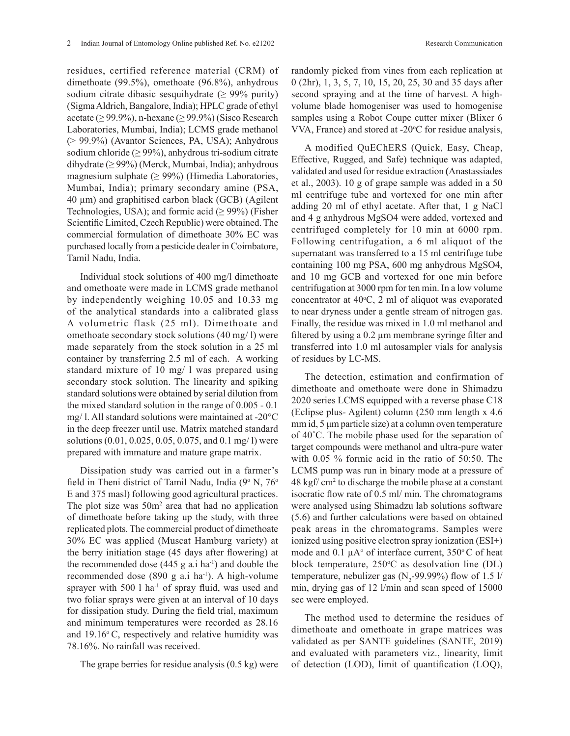residues, certified reference material (CRM) of dimethoate (99.5%), omethoate (96.8%), anhydrous sodium citrate dibasic sesquihydrate (≥ 99% purity) (Sigma Aldrich, Bangalore, India); HPLC grade of ethyl acetate ( $\geq$  99.9%), n-hexane ( $\geq$  99.9%) (Sisco Research Laboratories, Mumbai, India); LCMS grade methanol (> 99.9%) (Avantor Sciences, PA, USA); Anhydrous sodium chloride ( $\geq$  99%), anhydrous tri-sodium citrate dihydrate (≥ 99%) (Merck, Mumbai, India); anhydrous magnesium sulphate  $(≥ 99%)$  (Himedia Laboratories, Mumbai, India); primary secondary amine (PSA, 40 µm) and graphitised carbon black (GCB) (Agilent Technologies, USA); and formic acid  $(≥ 99%)$  (Fisher Scientific Limited, Czech Republic) were obtained. The commercial formulation of dimethoate 30% EC was purchased locally from a pesticide dealer in Coimbatore, Tamil Nadu, India.

Individual stock solutions of 400 mg/l dimethoate and omethoate were made in LCMS grade methanol by independently weighing 10.05 and 10.33 mg of the analytical standards into a calibrated glass A volumetric flask (25 ml). Dimethoate and omethoate secondary stock solutions (40 mg/ l) were made separately from the stock solution in a 25 ml container by transferring 2.5 ml of each. A working standard mixture of 10 mg/ l was prepared using secondary stock solution. The linearity and spiking standard solutions were obtained by serial dilution from the mixed standard solution in the range of 0.005 - 0.1 mg/ l. All standard solutions were maintained at -20°C in the deep freezer until use. Matrix matched standard solutions (0.01, 0.025, 0.05, 0.075, and 0.1 mg/ l) were prepared with immature and mature grape matrix.

Dissipation study was carried out in a farmer's field in Theni district of Tamil Nadu, India (9° N, 76° E and 375 masl) following good agricultural practices. The plot size was  $50m^2$  area that had no application of dimethoate before taking up the study, with three replicated plots. The commercial product of dimethoate 30% EC was applied (Muscat Hamburg variety) at the berry initiation stage (45 days after flowering) at the recommended dose  $(445 \text{ g a.i ha}^{-1})$  and double the recommended dose  $(890 \text{ g a.i ha}^{-1})$ . A high-volume sprayer with 500 l ha<sup>-1</sup> of spray fluid, was used and two foliar sprays were given at an interval of 10 days for dissipation study. During the field trial, maximum and minimum temperatures were recorded as 28.16 and  $19.16^{\circ}$  C, respectively and relative humidity was 78.16%. No rainfall was received.

The grape berries for residue analysis (0.5 kg) were

randomly picked from vines from each replication at 0 (2hr), 1, 3, 5, 7, 10, 15, 20, 25, 30 and 35 days after second spraying and at the time of harvest. A highvolume blade homogeniser was used to homogenise samples using a Robot Coupe cutter mixer (Blixer 6 VVA, France) and stored at -20°C for residue analysis,

A modified QuEChERS (Quick, Easy, Cheap, Effective, Rugged, and Safe) technique was adapted, validated and used for residue extraction **(**Anastassiades et al., 2003). 10 g of grape sample was added in a 50 ml centrifuge tube and vortexed for one min after adding 20 ml of ethyl acetate. After that, 1 g NaCl and 4 g anhydrous MgSO4 were added, vortexed and centrifuged completely for 10 min at 6000 rpm. Following centrifugation, a 6 ml aliquot of the supernatant was transferred to a 15 ml centrifuge tube containing 100 mg PSA, 600 mg anhydrous MgSO4, and 10 mg GCB and vortexed for one min before centrifugation at 3000 rpm for ten min. In a low volume concentrator at  $40^{\circ}$ C, 2 ml of aliquot was evaporated to near dryness under a gentle stream of nitrogen gas. Finally, the residue was mixed in 1.0 ml methanol and filtered by using a 0.2 µm membrane syringe filter and transferred into 1.0 ml autosampler vials for analysis of residues by LC-MS.

The detection, estimation and confirmation of dimethoate and omethoate were done in Shimadzu 2020 series LCMS equipped with a reverse phase C18 (Eclipse plus- Agilent) column (250 mm length x 4.6 mm id, 5 μm particle size) at a column oven temperature of 40˚C. The mobile phase used for the separation of target compounds were methanol and ultra-pure water with 0.05 % formic acid in the ratio of 50:50. The LCMS pump was run in binary mode at a pressure of 48 kgf/ cm2 to discharge the mobile phase at a constant isocratic flow rate of 0.5 ml/ min. The chromatograms were analysed using Shimadzu lab solutions software (5.6) and further calculations were based on obtained peak areas in the chromatograms. Samples were ionized using positive electron spray ionization (ESI+) mode and 0.1  $\mu$ A° of interface current, 350°C of heat block temperature,  $250^{\circ}$ C as desolvation line (DL) temperature, nebulizer gas  $(N_2$ -99.99%) flow of 1.5 l/ min, drying gas of 12 l/min and scan speed of 15000 sec were employed.

The method used to determine the residues of dimethoate and omethoate in grape matrices was validated as per SANTE guidelines (SANTE, 2019) and evaluated with parameters viz., linearity, limit of detection (LOD), limit of quantification (LOQ),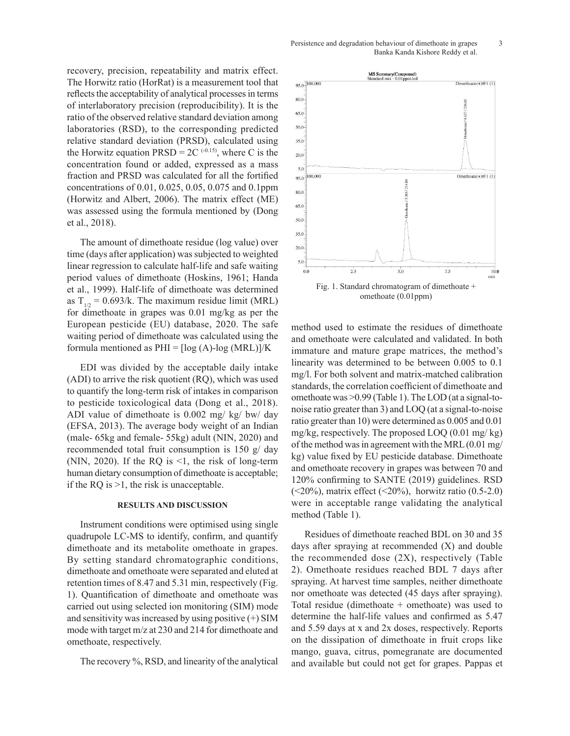recovery, precision, repeatability and matrix effect. The Horwitz ratio (HorRat) is a measurement tool that reflects the acceptability of analytical processes in terms of interlaboratory precision (reproducibility). It is the ratio of the observed relative standard deviation among laboratories (RSD), to the corresponding predicted relative standard deviation (PRSD), calculated using the Horwitz equation  $PRSD = 2C^{(-0.15)}$ , where C is the concentration found or added, expressed as a mass fraction and PRSD was calculated for all the fortified concentrations of 0.01, 0.025, 0.05, 0.075 and 0.1ppm (Horwitz and Albert, 2006). The matrix effect (ME) was assessed using the formula mentioned by (Dong et al., 2018).

The amount of dimethoate residue (log value) over time (days after application) was subjected to weighted linear regression to calculate half-life and safe waiting period values of dimethoate (Hoskins, 1961; Handa et al., 1999). Half-life of dimethoate was determined as  $T_{1/2} = 0.693/k$ . The maximum residue limit (MRL) for dimethoate in grapes was 0.01 mg/kg as per the European pesticide (EU) database, 2020. The safe waiting period of dimethoate was calculated using the formula mentioned as  $PHI = [log (A)-log (MRL)]/K$ 

EDI was divided by the acceptable daily intake (ADI) to arrive the risk quotient (RQ), which was used to quantify the long-term risk of intakes in comparison to pesticide toxicological data (Dong et al., 2018). ADI value of dimethoate is 0.002 mg/ kg/ bw/ day (EFSA, 2013). The average body weight of an Indian (male- 65kg and female- 55kg) adult (NIN, 2020) and recommended total fruit consumption is 150 g/ day (NIN, 2020). If the RQ is  $\leq 1$ , the risk of long-term human dietary consumption of dimethoate is acceptable; if the RQ is >1, the risk is unacceptable.

#### **RESULTS AND DISCUSSION**

Instrument conditions were optimised using single quadrupole LC-MS to identify, confirm, and quantify dimethoate and its metabolite omethoate in grapes. By setting standard chromatographic conditions, dimethoate and omethoate were separated and eluted at retention times of 8.47 and 5.31 min, respectively (Fig. 1). Quantification of dimethoate and omethoate was carried out using selected ion monitoring (SIM) mode and sensitivity was increased by using positive  $(+)$  SIM mode with target m/z at 230 and 214 for dimethoate and omethoate, respectively.

The recovery %, RSD, and linearity of the analytical



method used to estimate the residues of dimethoate using the and omethoate were calculated and validated. In both immature and mature grape matrices, the method's linearity was determined to be between 0.005 to 0.1 mg/l. For both solvent and matrix-matched calibration standards, the correlation coefficient of dimethoate and omethoate was >0.99 (Table 1). The LOD (at a signal-tonoise ratio greater than 3) and LOQ (at a signal-to-noise ratio greater than 10) were determined as 0.005 and 0.01 mg/kg, respectively. The proposed LOQ (0.01 mg/ kg) of the method was in agreement with the MRL (0.01 mg/ kg) value fixed by EU pesticide database. Dimethoate and omethoate recovery in grapes was between 70 and 120% confirming to SANTE (2019) guidelines. RSD  $(<20\%)$ , matrix effect  $(<20\%)$ , horwitz ratio  $(0.5-2.0)$ were in acceptable range validating the analytical method (Table 1).

> Residues of dimethoate reached BDL on 30 and 35 days after spraying at recommended (X) and double the recommended dose (2X), respectively (Table 2). Omethoate residues reached BDL 7 days after spraying. At harvest time samples, neither dimethoate nor omethoate was detected (45 days after spraying). Total residue (dimethoate + omethoate) was used to determine the half-life values and confirmed as 5.47 and 5.59 days at x and 2x doses, respectively. Reports on the dissipation of dimethoate in fruit crops like mango, guava, citrus, pomegranate are documented and available but could not get for grapes. Pappas et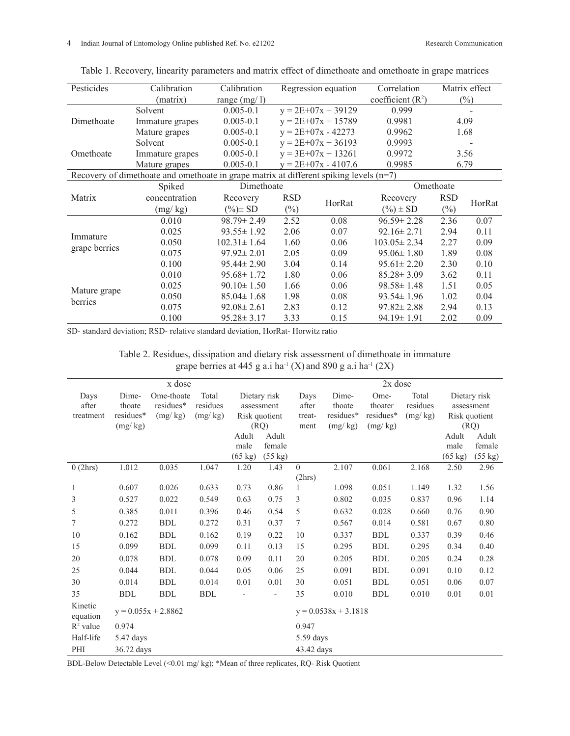| Pesticides                                                                               | Calibration     | Calibration       |                      | Regression equation   | Correlation        | Matrix effect |        |  |  |
|------------------------------------------------------------------------------------------|-----------------|-------------------|----------------------|-----------------------|--------------------|---------------|--------|--|--|
|                                                                                          | (matrix)        | range $(mg/l)$    |                      |                       | coefficient $(R2)$ | $(\%)$        |        |  |  |
| Dimethoate                                                                               | Solvent         | $0.005 - 0.1$     | $y = 2E+07x + 39129$ |                       | 0.999              |               |        |  |  |
|                                                                                          | Immature grapes | $0.005 - 0.1$     |                      | $y = 2E+07x + 15789$  | 0.9981             | 4.09          |        |  |  |
|                                                                                          | Mature grapes   | $0.005 - 0.1$     |                      | $y = 2E+07x - 42273$  | 0.9962             | 1.68          |        |  |  |
| Omethoate                                                                                | Solvent         | $0.005 - 0.1$     |                      | $y = 2E+07x + 36193$  | 0.9993             |               |        |  |  |
|                                                                                          | Immature grapes | $0.005 - 0.1$     | $y = 3E+07x + 13261$ |                       | 0.9972             |               | 3.56   |  |  |
|                                                                                          | Mature grapes   | $0.005 - 0.1$     |                      | $y = 2E+07x - 4107.6$ | 0.9985             | 6.79          |        |  |  |
| Recovery of dimethoate and omethoate in grape matrix at different spiking levels $(n=7)$ |                 |                   |                      |                       |                    |               |        |  |  |
| Matrix                                                                                   | Spiked          | Dimethoate        |                      |                       | Omethoate          |               |        |  |  |
|                                                                                          | concentration   | Recovery          | <b>RSD</b>           |                       | Recovery           | <b>RSD</b>    | HorRat |  |  |
|                                                                                          | (mg/kg)         | $(\%)\pm SD$      | $(\%)$               | HorRat                | $(\%) \pm SD$      | $(\%)$        |        |  |  |
| Immature<br>grape berries                                                                | 0.010           | $98.79 \pm 2.49$  | 2.52                 | 0.08                  | $96.59 \pm 2.28$   | 2.36          | 0.07   |  |  |
|                                                                                          | 0.025           | $93.55 \pm 1.92$  | 2.06                 | 0.07                  | $92.16 \pm 2.71$   | 2.94          | 0.11   |  |  |
|                                                                                          | 0.050           | $102.31 \pm 1.64$ | 1.60                 | 0.06                  | $103.05 \pm 2.34$  |               | 0.09   |  |  |
|                                                                                          | 0.075           | $97.92 \pm 2.01$  | 2.05                 | 0.09                  | $95.06 \pm 1.80$   | 1.89          | 0.08   |  |  |
|                                                                                          | 0.100           | $95.44 \pm 2.90$  | 3.04                 | 0.14                  | $95.61 \pm 2.20$   | 2.30          | 0.10   |  |  |
| Mature grape<br>berries                                                                  | 0.010           | $95.68 \pm 1.72$  | 1.80                 | 0.06                  | $85.28 \pm 3.09$   | 3.62          | 0.11   |  |  |
|                                                                                          | 0.025           | $90.10 \pm 1.50$  | 1.66                 | 0.06                  | $98.58 \pm 1.48$   | 1.51          | 0.05   |  |  |
|                                                                                          | 0.050           | $85.04 \pm 1.68$  | 1.98                 | 0.08                  | $93.54 \pm 1.96$   | 1.02          | 0.04   |  |  |
|                                                                                          | 0.075           | $92.08 \pm 2.61$  | 2.83                 | 0.12                  | $97.82 \pm 2.88$   | 2.94          | 0.13   |  |  |
|                                                                                          | 0.100           | $95.28 \pm 3.17$  | 3.33                 | 0.15                  | $94.19 \pm 1.91$   | 2.02          | 0.09   |  |  |

Table 1. Recovery, linearity parameters and matrix effect of dimethoate and omethoate in grape matrices

SD- standard deviation; RSD- relative standard deviation, HorRat- Horwitz ratio

Table 2. Residues, dissipation and dietary risk assessment of dimethoate in immature grape berries at 445 g a.i ha<sup>-1</sup> (X) and 890 g a.i ha<sup>-1</sup> (2X)

| x dose              |                       |            |            |                   | $2x$ dose                |                |           |            |          |               |              |
|---------------------|-----------------------|------------|------------|-------------------|--------------------------|----------------|-----------|------------|----------|---------------|--------------|
| Days                | Dime-                 | Ome-thoate | Total      |                   | Dietary risk             | Days           | Dime-     | Ome-       | Total    |               | Dietary risk |
| after               | thoate                | residues*  | residues   | assessment        |                          | after          | thoate    | thoater    | residues | assessment    |              |
| treatment           | residues*             | (mg/kg)    | (mg/kg)    | Risk quotient     |                          | treat-         | residues* | residues*  | (mg/kg)  | Risk quotient |              |
|                     | (mg/kg)               |            |            | (RQ)              |                          | ment           | (mg/kg)   | (mg/kg)    |          | (RQ)          |              |
|                     |                       |            |            | Adult             | Adult                    |                |           |            |          | Adult         | Adult        |
|                     |                       |            |            | male              | female                   |                |           |            |          | male          | female       |
|                     |                       |            |            | $(65 \text{ kg})$ | $(55 \text{ kg})$        |                |           |            |          | (65 kg)       | (55 kg)      |
| 0(2hrs)             | 1.012                 | 0.035      | 1.047      | 1.20              | 1.43                     | $\overline{0}$ | 2.107     | 0.061      | 2.168    | 2.50          | 2.96         |
|                     |                       |            |            |                   |                          | (2hrs)         |           |            |          |               |              |
| 1                   | 0.607                 | 0.026      | 0.633      | 0.73              | 0.86                     | 1              | 1.098     | 0.051      | 1.149    | 1.32          | 1.56         |
| 3                   | 0.527                 | 0.022      | 0.549      | 0.63              | 0.75                     | 3              | 0.802     | 0.035      | 0.837    | 0.96          | 1.14         |
| 5                   | 0.385                 | 0.011      | 0.396      | 0.46              | 0.54                     | 5              | 0.632     | 0.028      | 0.660    | 0.76          | 0.90         |
| 7                   | 0.272                 | <b>BDL</b> | 0.272      | 0.31              | 0.37                     | 7              | 0.567     | 0.014      | 0.581    | 0.67          | 0.80         |
| 10                  | 0.162                 | <b>BDL</b> | 0.162      | 0.19              | 0.22                     | 10             | 0.337     | <b>BDL</b> | 0.337    | 0.39          | 0.46         |
| 15                  | 0.099                 | <b>BDL</b> | 0.099      | 0.11              | 0.13                     | 15             | 0.295     | <b>BDL</b> | 0.295    | 0.34          | 0.40         |
| 20                  | 0.078                 | <b>BDL</b> | 0.078      | 0.09              | 0.11                     | 20             | 0.205     | <b>BDL</b> | 0.205    | 0.24          | 0.28         |
| 25                  | 0.044                 | <b>BDL</b> | 0.044      | 0.05              | 0.06                     | 25             | 0.091     | <b>BDL</b> | 0.091    | 0.10          | 0.12         |
| 30                  | 0.014                 | <b>BDL</b> | 0.014      | 0.01              | 0.01                     | 30             | 0.051     | <b>BDL</b> | 0.051    | 0.06          | 0.07         |
| 35                  | <b>BDL</b>            | <b>BDL</b> | <b>BDL</b> |                   | $\overline{\phantom{a}}$ | 35             | 0.010     | <b>BDL</b> | 0.010    | 0.01          | 0.01         |
| Kinetic<br>equation | $y = 0.055x + 2.8862$ |            |            |                   | $y = 0.0538x + 3.1818$   |                |           |            |          |               |              |
| $R^2$ value         | 0.974                 |            |            |                   |                          | 0.947          |           |            |          |               |              |
| Half-life           | 5.47 days             |            |            |                   | 5.59 days                |                |           |            |          |               |              |
| PHI                 | 36.72 days            |            |            |                   | 43.42 days               |                |           |            |          |               |              |

BDL-Below Detectable Level (<0.01 mg/ kg); \*Mean of three replicates, RQ- Risk Quotient